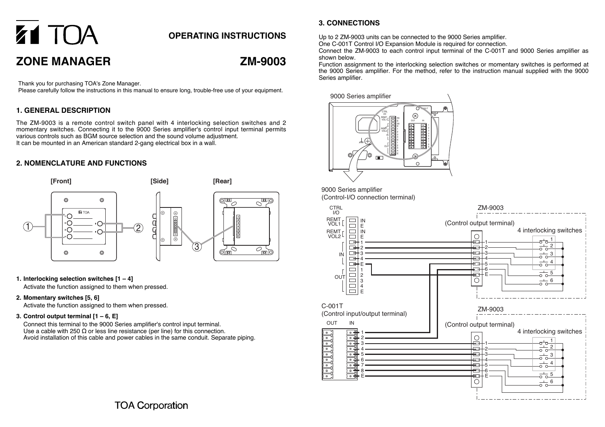# **Z1 TOA ZONE MANAGER**

## **OPERATING INSTRUCTIONS**

# **ZM-9003**

 $\overline{C}$ pan $\overline{C}$ 

 $\overline{\mathcal{O}_{\text{MID}}^{\bullet}}$ 

Thank you for purchasing TOA's Zone Manager.

Please carefully follow the instructions in this manual to ensure long, trouble-free use of your equipment.

#### **1. GENERAL DESCRIPTION**

The ZM-9003 is a remote control switch panel with 4 interlocking selection switches and 2 momentary switches. Connecting it to the 9000 Series amplifier's control input terminal permits various controls such as BGM source selection and the sound volume adjustment. It can be mounted in an American standard 2-gang electrical box in a wall.

#### **2. NOMENCLATURE AND FUNCTIONS**





**1. Interlocking selection switches [1 – 4]** Activate the function assigned to them when pressed.

#### **2. Momentary switches [5, 6]**

Activate the function assigned to them when pressed.

#### **3. Control output terminal [1 – 6, E]**

Connect this terminal to the 9000 Series amplifier's control input terminal. Use a cable with 250  $\Omega$  or less line resistance (per line) for this connection. Avoid installation of this cable and power cables in the same conduit. Separate piping.

### **3. CONNECTIONS**

Up to 2 ZM-9003 units can be connected to the 9000 Series amplifier.

One C-001T Control I/O Expansion Module is required for connection.

Connect the ZM-9003 to each control input terminal of the C-001T and 9000 Series amplifier as shown below.

Function assignment to the interlocking selection switches or momentary switches is performed at the 9000 Series amplifier. For the method, refer to the instruction manual supplied with the 9000 Series amplifier.



9000 Series amplifier (Control-I/O connection terminal)



**TOA Corporation**